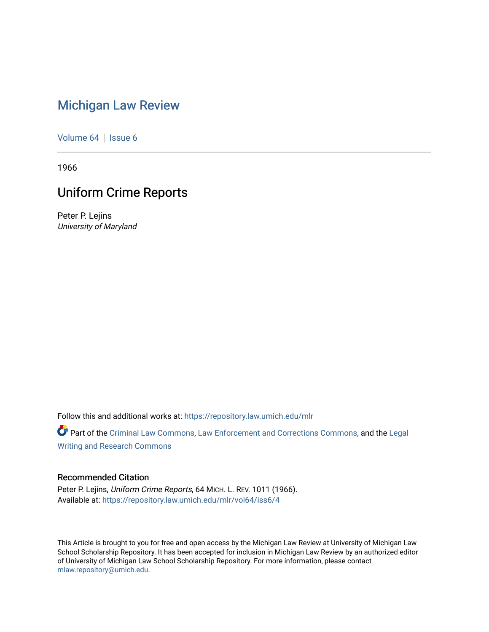# [Michigan Law Review](https://repository.law.umich.edu/mlr)

[Volume 64](https://repository.law.umich.edu/mlr/vol64) | [Issue 6](https://repository.law.umich.edu/mlr/vol64/iss6)

1966

# Uniform Crime Reports

Peter P. Lejins University of Maryland

Follow this and additional works at: [https://repository.law.umich.edu/mlr](https://repository.law.umich.edu/mlr?utm_source=repository.law.umich.edu%2Fmlr%2Fvol64%2Fiss6%2F4&utm_medium=PDF&utm_campaign=PDFCoverPages) 

Part of the [Criminal Law Commons,](http://network.bepress.com/hgg/discipline/912?utm_source=repository.law.umich.edu%2Fmlr%2Fvol64%2Fiss6%2F4&utm_medium=PDF&utm_campaign=PDFCoverPages) [Law Enforcement and Corrections Commons](http://network.bepress.com/hgg/discipline/854?utm_source=repository.law.umich.edu%2Fmlr%2Fvol64%2Fiss6%2F4&utm_medium=PDF&utm_campaign=PDFCoverPages), and the Legal [Writing and Research Commons](http://network.bepress.com/hgg/discipline/614?utm_source=repository.law.umich.edu%2Fmlr%2Fvol64%2Fiss6%2F4&utm_medium=PDF&utm_campaign=PDFCoverPages) 

## Recommended Citation

Peter P. Lejins, Uniform Crime Reports, 64 MICH. L. REV. 1011 (1966). Available at: [https://repository.law.umich.edu/mlr/vol64/iss6/4](https://repository.law.umich.edu/mlr/vol64/iss6/4?utm_source=repository.law.umich.edu%2Fmlr%2Fvol64%2Fiss6%2F4&utm_medium=PDF&utm_campaign=PDFCoverPages)

This Article is brought to you for free and open access by the Michigan Law Review at University of Michigan Law School Scholarship Repository. It has been accepted for inclusion in Michigan Law Review by an authorized editor of University of Michigan Law School Scholarship Repository. For more information, please contact [mlaw.repository@umich.edu.](mailto:mlaw.repository@umich.edu)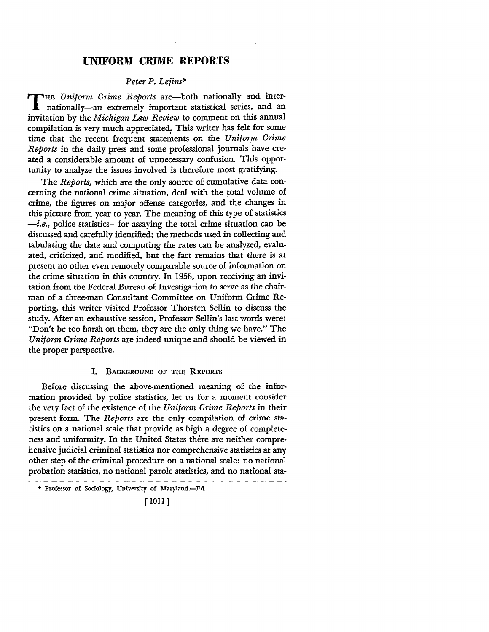## **UNIFORM CRIME REPORTS**

### *Peter P. Lejins\**

THE *Uniform Crime Reports* are both nationally and inter-<br>nationally-an extremely important statistical series, and an invitation by the *Michigan Law Review* to comment on this annual compilation is very much appreciated: This writer has felt for some time that the recent frequent statements on the *Uniform Crime Reports* in the daily press and some professional journals have created a considerable amount of unnecessary confusion. This opportunity to analyze the issues involved is therefore most gratifying.

The *Reports,* which are the only source of cumulative data concerning the national crime situation, deal with the total volume of crime, the figures on major offense categories, and the changes in this picture from year to year. The meaning of this type of statistics  $-i.e.,$  police statistics—for assaying the total crime situation can be discussed and carefully identified; the methods used in collecting and tabulating the data and computing the rates can be analyzed, evaluated, criticized, and modified, but the fact remains that there is at present no other even remotely comparable source of information on the crime situation in this country. In 1958, upon receiving an invitation from the Federal Bureau of Investigation to serve as the chairman of a three-man Consultant Committee on Uniform Crime Reporting, this writer visited Professor Thorsten Sellin to discuss the study. After an exhaustive session, Professor Sellin's last words were: "Don't be too harsh on them, they are the only thing we have." The *Uniform Crime Reports* are indeed unique and should be viewed in the proper perspective.

#### J. BACKGROUND OF THE REPORTS

Before discussing the above-mentioned meaning of the information provided by police statistics, let us for a moment consider the very fact of the existence of the *Uniform Crime Reports* in their present form. The *Reports* are the only compilation of crime statistics on a national scale that provide as high a degree of completeness and uniformity. In the United States there are neither comprehensive judicial criminal statistics nor comprehensive statistics at any other step of the criminal procedure on a national scale: no national probation statistics, no national parole statistics, and no national sta-

<sup>•</sup> Professor of Sociology, University of Maryland.-Ed.

<sup>[1011]</sup>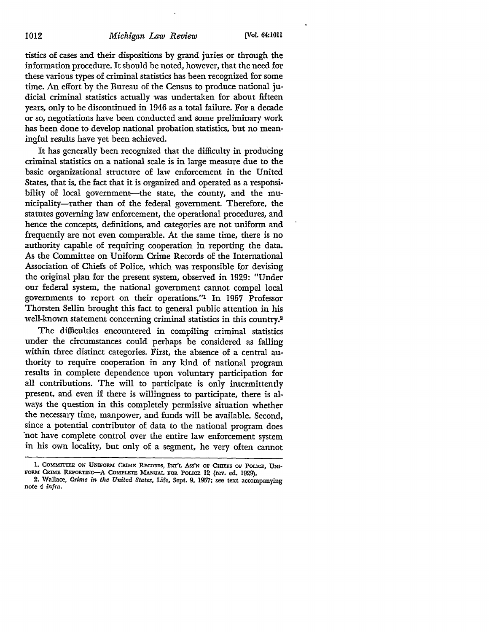tistics of cases and their dispositions by grand juries or through the information procedure. It should be noted, however, that the need for these various types of criminal statistics has been recognized for some time. An effort by the Bureau of the Census to produce national judicial criminal statistics actually was undertaken for about fifteen years, only to be discontinued in 1946 as a total failure. For a decade or so, negotiations have been conducted and some preliminary work has been done to develop national probation statistics, but no meaningful results have yet been achieved.

It has generally been recognized that the difficulty in producing criminal statistics on a national scale is in large measure due to the basic organizational structure of law enforcement in the United States, that is, the fact that it is organized and operated as a responsibility of local government-the state, the county, and the municipality-rather than of the federal government. Therefore, the statutes governing law enforcement, the operational procedures, and hence the concepts, definitions, and categories are not uniform and frequently are not even comparable. At the same time, there is no authority capable of requiring cooperation in reporting the data. As the Committee on Uniform Crime Records of the International Association of Chiefs of Police, which was responsible for devising the original plan for the present system, observed in 1929: "Under our federal system, the national government cannot compel local governments to report on their operations."1 In 1957 Professor Thorsten Sellin brought this fact to general public attention in his well-known statement concerning criminal statistics in this country.<sup>2</sup>

The difficulties encountered in compiling criminal statistics under the circumstances could perhaps be considered as falling within three distinct categories. First, the absence of a central authority to require cooperation in any kind of national program results in complete dependence upon voluntary participation for all contributions. The will to participate is only intermittently present, and even if there is willingness to participate, there is always the question in this completely permissive situation whether the necessary time, manpower, and funds will be available. Second, since a potential contributor of data to the national program does ·not have complete control over the entire law enforcement system in his own locality, but only of a segment, he very often cannot

<sup>1.</sup> COMMITTEE ON UNIFORM CRIME RECORDS, INT'L ASS'N OF CHIEFS OF POLICE, UNI-FORM CRIME REPORTING-A COMPLErE MANUAL FOR POLICE 12 (rev. ed. 1929).

<sup>2.</sup> Wallace, *Crime in the United States,* Life, Sept. 9, 1957; see text accompanying note 4 *infra.*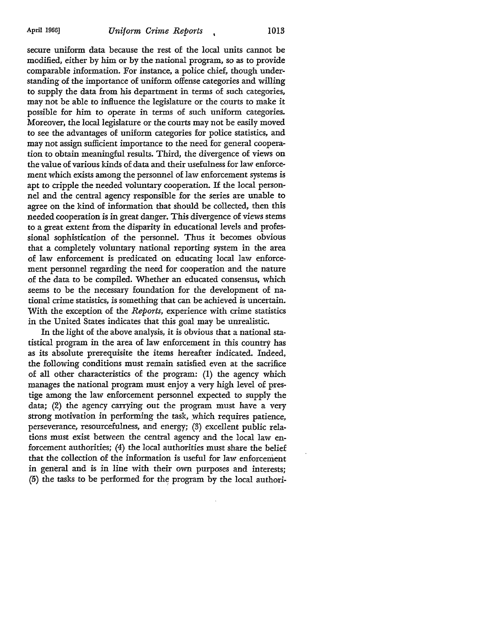secure uniform data because the rest of the local units cannot be modified, either by him or by the national program, so as to provide comparable information. For instance, a police chief, though understanding of the importance of uniform offense categories and willing to supply the data from his department in terms of such categories, may not be able to influence the legislature or the courts to make it possible for him to operate in terms of such uniform categories. Moreover, the local legislature or the courts may not be easily moved to see the advantages of uniform categories for police statistics, and may not assign sufficient importance to the need for general cooperation to obtain meaningful results. Third, the divergence of views on the value of various kinds of data and their usefulness for law enforcement which exists among the personnel of law enforcement systems is apt to cripple the needed voluntary cooperation. If the local personnel and the central agency responsible for the series are unable to agree on the kind of information that should be collected, then this needed cooperation is in great danger. This divergence of views stems to a great extent from the disparity in educational levels and professional sophistication of the personnel. Thus it becomes obvious that a completely voluntary national reporting system in the area of law enforcement is predicated on educating local law enforcement personnel regarding the need for cooperation and the nature of the data to be compiled. Whether an educated consensus, which seems to be the necessary foundation for the development of national crime statistics, is something that can be achieved is uncertain. With the exception of the *Reports,* experience with crime statistics in the United States indicates that this goal may be unrealistic.

In the light of the above analysis, it is obvious that a national statistical program in the area of law enforcement in this country has as its absolute prerequisite the items hereafter indicated. Indeed, the following conditions must remain satisfied even at the sacrifice of all other characteristics of the program: (1) the agency which manages the national program must enjoy a very high level of prestige among the law enforcement personnel expected to supply the data; (2) the agency carrying out the program must have a very strong motivation in performing the task, which requires patience, perseverance, resourcefulness, and energy; (3) excellent public relations must exist between the central agency and the local law enforcement authorities; (4) the local authorities must share the belief that the collection of the information is useful for law enforcement in general and is in line with their own purposes and interests;  $(5)$  the tasks to be performed for the program by the local authori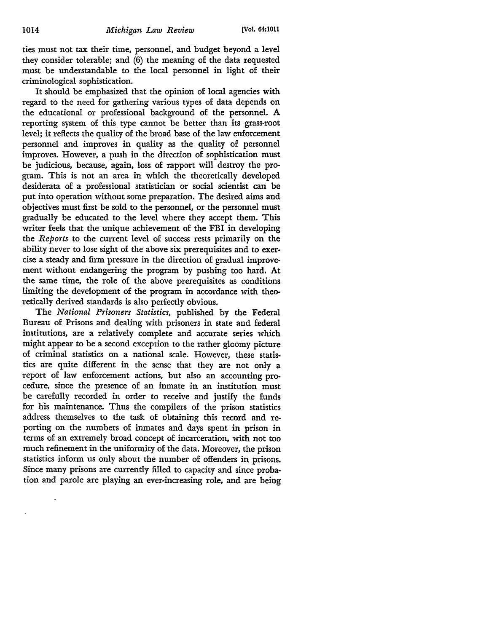ties must not tax their time, personnel, and budget beyond a level they consider tolerable; and (6) the meaning of the data requested must be understandable to the local personnel in light of their criminological sophistication.

It should be emphasized that the opinion of local agencies with regard to the need for gathering various types of data depends on the educational or professional background of the personnel. A reporting system of this type cannot be better than its grass-root level; it reflects the quality of the broad base of the law enforcement personnel and improves in quality as the quality of personnel improves. However, a push in the direction of sophistication must be judicious, because, again, loss of rapport will destroy the program. This is not an area in which the theoretically developed desiderata of a professional statistician or social scientist can be put into operation without some preparation. The desired aims and objectives must first be sold to the personnel, or the personnel must gradually be educated to the level where they accept them. This writer feels that the unique achievement of the FBI in developing the *Reports* to the current level of success rests primarily on the ability never to lose sight of the above six prerequisites and to exercise a steady and firm pressure in the direction of gradual improvement without endangering the program by pushing too hard. At the same time, the role of the above prerequisites as conditions limiting the development of the program in accordance with theoretically derived standards is also perfectly obvious.

The *National Prisoners Statistics,* published by the Federal Bureau of Prisons and dealing with prisoners in state and federal institutions, are a relatively complete and accurate series which might appear to be a second exception to the rather gloomy picture of criminal statistics on a national scale. However, these statistics are quite different in the sense that they are not only a report of law enforcement actions, but also an accounting procedure, since the presence of an inmate in an institution must be carefully recorded in order to receive and justify the funds for his maintenance. Thus the compilers of the prison statistics address themselves to the task of obtaining this record and reporting on the numbers of inmates and days spent in prison in terms of an extremely broad concept of incarceration, with not too much refinement in the uniformity of the data. Moreover, the prison statistics inform us only about the number of offenders in prisons. Since many prisons are currently filled to capacity and since probation and parole are playing an ever-increasing role, and are being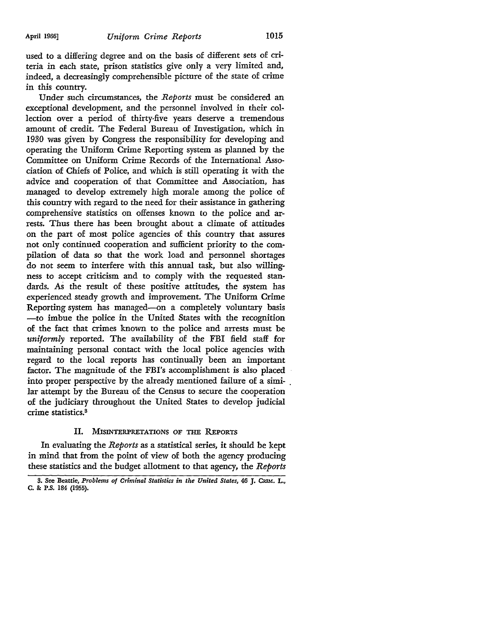used to a differing degree and on the basis of different sets of criteria in each state, prison statistics give only a very limited and, indeed, a decreasingly comprehensible picture of the state of crime in this country.

Under such circumstances, the *Reports* must be considered an exceptional development, and the personnel involved in their collection over a period of thirty-five years deserve a tremendous amount of credit. The Federal Bureau of Investigation, which in 1930 was given by Congress the responsibility for developing and operating the Uniform Crime Reporting system as planned by the Committee on Uniform Crime Records of the International Association of Chiefs of Police, and which is still operating it with the advice and cooperation of that Committee and Association, has managed to develop extremely high morale among the police of this country with regard to the need for their assistance in gathering comprehensive statistics on offenses known to the police and arrests. Thus there has been brought about a climate of attitudes on the part of most polite agencies of this country that assures not only continued cooperation and sufficient priority to the compilation of data so that the work load and personnel shortages do not seem to interfere with this annual task, but also willingness to accept criticism and to comply with the requested standards. As the result of these positive attitudes, the system has experienced steady growth and improvement. The Uniform Crime Reporting system has managed--on a completely voluntary basis -to imbue the police in the United States with the recognition of the fact that crimes known to the police and arrests must be uniformly reported. The availability of the FBI field staff for maintaining personal contact with the local police agencies with regard to the local reports has continually been an important factor. The magnitude of the FBI's accomplishment is also placed into proper perspective by the already mentioned failure of a simi- . lar attempt by the Bureau of the Census to secure the cooperation of the judiciary throughout the United States to develop judicial crime statistics.<sup>3</sup>

### II. MISINTERPRETATIONS OF THE REPORTS

In evaluating the *Reports* as a statistical series, it should be kept in mind that from the point of view of both the agency producing these statistics and the budget allotment to that agency, the *Reports* 

<sup>3.</sup> See Beattie, *Problems of Criminal Statistics in the United States,* 46 J. CRIM. L., C. & P.S. 184 (1955).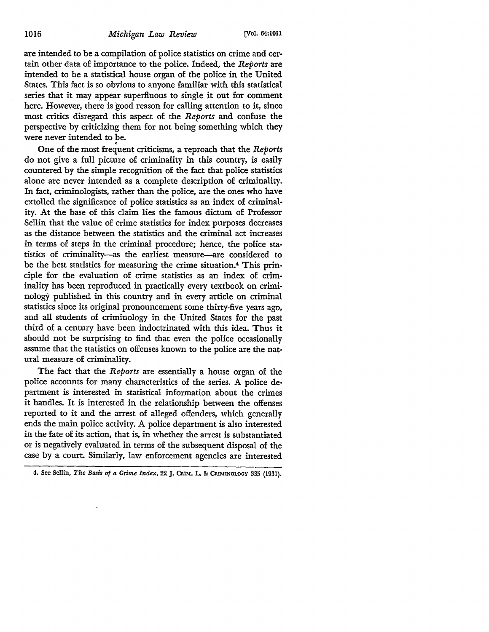are intended to be a compilation of police statistics on crime and certain other data of importance to the police. Indeed, the *Reports* are intended to be a statistical house organ of the police in the United States. This fact is so obvious to anyone familiar with this statistical series that it may appear superfluous to single it out for comment here. However, there is good reason for calling attention to it, since most critics disregard this aspect of the *Reports* and confuse the perspective by criticizing them for not being something which they were never intended to be.

One of the most frequent criticisms, a reproach that the *Reports* do not give a full picture of criminality in this country, is easily countered by the simple recognition of the fact that police statistics alone are never intended as a complete description of criminality. In fact, criminologists, rather than the police, are the ones who have extolled the significance of police statistics as an index of criminality. At the base of this claim lies the famous dictum of Professor Sellin that the value of crime statistics for index purposes decreases as the distance between the statistics and the criminal act increases in terms of steps in the criminal procedure; hence, the police statistics of criminality-as the earliest measure-are considered to be the best statistics for measuring the crime situation.4 This principle for the evaluation of crime statistics as an index of criminality has been reproduced in practically every textbook on criminology published in this country and in every article on criminal statistics since its original pronouncement some thirty-five years ago, and all students of criminology in the United States for the past third of a century have been indoctrinated with this idea. Thus it should not be surprising to find that even the police occasionally assume that the statistics on offenses known to the police are the natural measure of criminality.

The fact that the *Reports* are essentially a house organ of the police accounts for many characteristics of the series. A police department is interested in statistical information about the crimes it handles. It is interested in the relationship between the offenses reported to it and the arrest of alleged offenders, which generally ends the main police activity. A police department is also interested in the fate of its action, that is, in whether the arrest is substantiated or is negatively evaluated in terms of the subsequent disposal of the case by a court. Similarly, law enforcement agencies are interested

<sup>4-.</sup> See Sellin, *The Basis of a Crime Index,* 22 J. CRIM, L. 8: CRIMINOLOGY 335 (1931).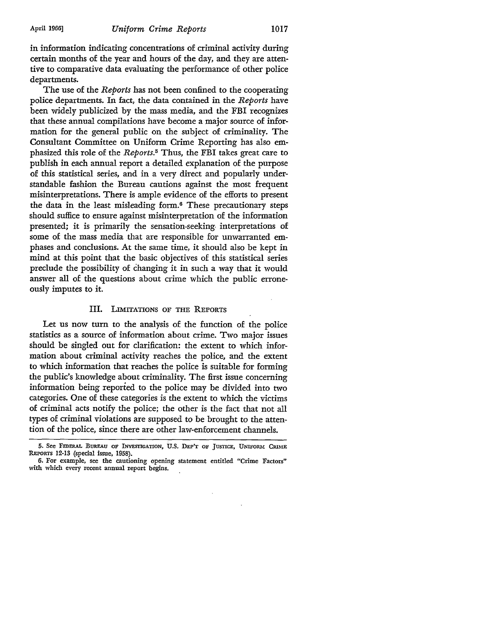in information indicating concentrations of criminal activity during certain months of the year and hours of the day, and they are attentive to comparative data evaluating the performance of other police departments.

The use of the *Reports* has not been confined to the cooperating police departments. In fact, the data contained in the *Reports* have been widely publicized by the mass media, and the FBI recognizes that these annual compilations have become a major source of information for the general public on the subject of criminality. The Consultant Committee on Uniform Crime Reporting has also emphasized this role of the *Reports.*5 Thus, the FBI takes great care to publish in each annual report a detailed explanation of the purpose of this statistical series, and in a very direct and popularly understandable fashion the Bureau cautions against the most frequent misinterpretations. There is ample evidence of the efforts to present the data in the least misleading form.<sup>6</sup> These precautionary steps should suffice to ensure against misinterpretation of the information presented; it is primarily the sensation-seeking interpretations of some of the mass media that are responsible for unwarranted emphases and conclusions. At the same time, it should also be kept in mind at this point that the basic objectives of this statistical series preclude the possibility of changing it in such a way that it would answer all of the questions about crime which the public erroneously imputes to it.

#### III. LIMITATIONS OF THE REPORTS

Let us now tum to the analysis of the function of the police statistics as a source of information about crime. Two major issues should be singled out for clarification: the extent to which information about criminal activity reaches the police, and the extent to which information that reaches the police is suitable for forming the public's knowledge about criminality. The first issue concerning information being reported to the police may be divided into two categories. One of these categories is the extent to which the victims of criminal acts notify the police; the other is the fact that not all types of criminal violations are supposed to be brought to the attention of the police, since there are other law-enforcement channels.

<sup>5.</sup> See FEDERAL BUREAU OF INVESTIGATION, U.S. DEP'T OF JUSTICE, UNIFORM CRIME REPORTS 12-13 (special issue, 1958).

<sup>6.</sup> For example, see the cautioning opening statement entitled "Crime Factors" with which every recent annual report begins.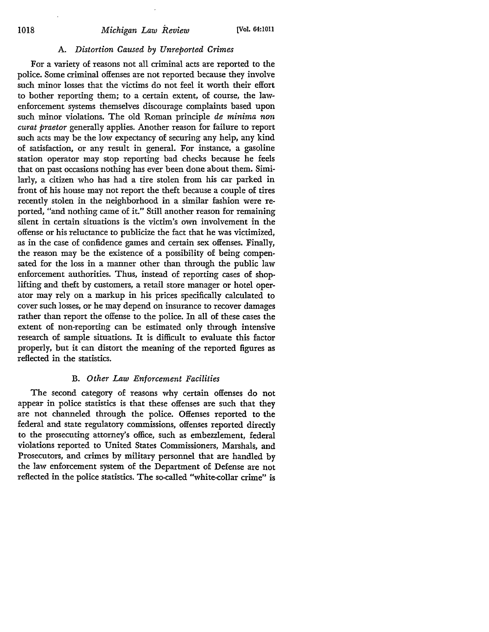## A. *Distortion Caused* by *Unreported Crimes*

For a variety of reasons not all criminal acts are reported to the police. Some criminal offenses are not reported because they involve such minor losses that the victims do not feel it worth their effort to bother reporting them; to a certain extent, of course, the lawenforcement systems themselves discourage complaints based upon such minor violations. The old Roman principle *de minima non curat praetor* generally applies. Another reason for failure to report such acts may be the low expectancy of securing any help, any kind of satisfaction, or any result in general. For instance, a gasoline station operator may stop reporting bad checks because he feels that on past occasions nothing has ever been done about them. Similarly, a citizen who has had a tire stolen from his car parked in front of his house may not report the theft because a couple of tires recently stolen in the neighborhood in a similar fashion were reported, "and nothing came of it." Still another reason for remaining silent in certain situations is the victim's own involvement in the offense or his reluctance to publicize the fact that he was victimized, as in the case of confidence games and certain sex offenses. Finally, the reason may be the existence of a possibility of being compensated for the loss in a manner other than through the public law enforcement authorities. Thus, instead of reporting cases of shoplifting and theft by customers, a retail store manager or hotel operator may rely on a markup in his prices specifically calculated to cover such losses, or he may depend on insurance to recover damages rather than report the offense to the police. In all of these cases the extent of non-reporting can be estimated only through intensive research of sample situations. It is difficult to evaluate this factor properly, but it can distort the meaning of the reported figures as reflected in the statistics.

## B. *Other Law Enforcement Facilities*

The second category of reasons why certain offenses do not appear in police statistics is that these offenses are such that they are not channeled through the police. Offenses reported to the federal and state regulatory commissions, offenses reported directly to the prosecuting attorney's office, such as embezzlement, federal violations reported to United States Commissioners, Marshals, and Prosecutors, and crimes by military personnel that are handled by the law enforcement system of the Department of Defense are not reflected in the police statistics. The so-called "white-collar crime" is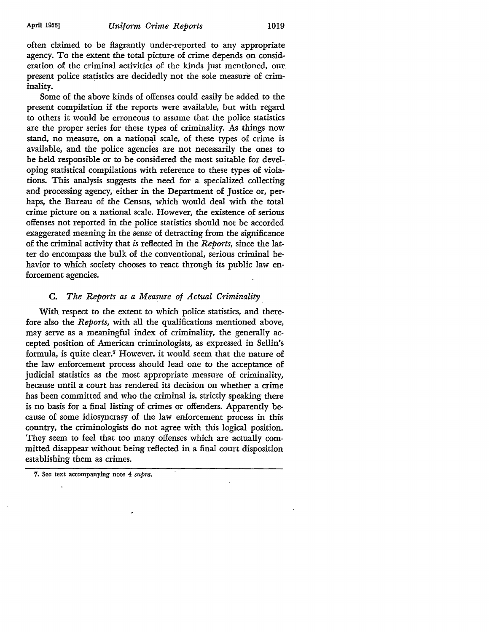often claimed to be flagrantly under-reported to any appropriate agency. To the extent the total picture of crime depends on consideration of the criminal activities of the kinds just mentioned, our. present police statistics are decidedly not the sole measure of criminality.

Some of the above kinds of offenses could easily be added to the present compilation if the reports were available, but with regard to others it would be erroneous to assume that the police statistics are the proper series for these types of criminality. As things now stand, no measure, on a national scale, of these types of crime is available, and the police agencies are not necessarily the ones to be held responsible or to be considered the most suitable for developing statistical compilations with reference to these types of violations. This analysis suggests the need for a specialized collecting and processing agency, either in the Department of Justice or, perhaps, the Bureau of the Census, which would deal with the total crime picture on a national scale. However, the existence of serious offenses not reported in the police statistics should not be accorded exaggerated meaning in the sense of detracting from the significance of the criminal activity that *is* reflected in the *Reports,* since the latter do encompass the bulk of the conventional, serious criminal behavior to which society chooses to react through its public law enforcement agencies.

## C. *The Reports as a Measure of Actual Criminality*

With respect to the extent to which police statistics, and therefore also the *Reports,* with all the qualifications mentioned above, may serve as a meaningful index of criminality, the generally accepted position of American criminologists, as expressed in Sellin's formula, is quite clear.7 However, it would seem that the nature of the law enforcement process should lead one to the acceptance of judicial statistics as the most appropriate measure of criminality, because until a court has rendered its decision on whether a crime has been committed and who the criminal is, strictly speaking there is no basis for a final listing of crimes or offenders. Apparently because of some idiosyncrasy of the law enforcement process in this country, the criminologists do not agree with this logical position. They seem to feel that too many offenses which are actually committed disappear without being reflected in a final court disposition establishing them as crimes.

<sup>7.</sup> See text accompanying note 4 *supra.*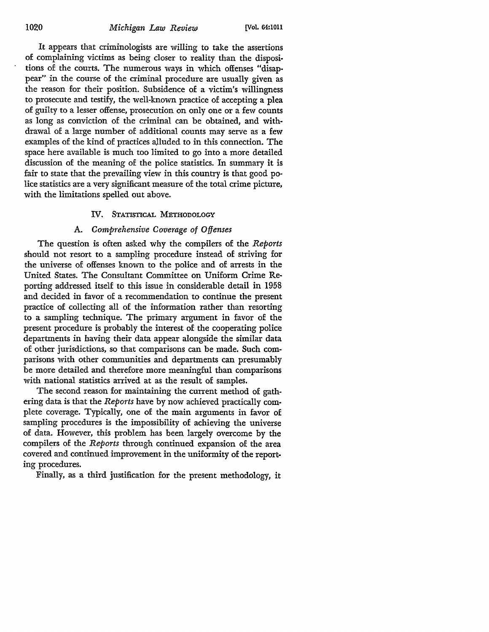It appears that criminologists are willing to take the assertions of complaining victims as being closer to reality than the dispositions of the courts. The numerous ways in which offenses "disappear" in the course of the criminal procedure are usually given as the reason for their position. Subsidence of a victim's willingness to prosecute and testify, the well-known practice of accepting a plea of guilty to a lesser offense, prosecution on only one or a few counts as long as conviction of the criminal can be obtained, and withdrawal of a large number of additional counts may serve as a few examples of the kind of practices alluded to in this connection. The space here available is much too limited to go into a more detailed discussion of the meaning of the police statistics. In summary it is fair to state that the prevailing view in this country is that good police statistics are a very significant measure of the total crime picture, with the limitations spelled out above.

#### IV. **STATISTICAL METHODOLOGY**

### A. *Comprehensive Coverage of Offenses*

The question is often asked why the compilers of the *Reports*  should not resort to a sampling procedure instead of striving for the universe of offenses known to the police and of arrests in the United States. The Consultant Committee on Uniform Crime Reporting addressed itself to this issue in considerable detail in 1958 and decided in favor of a recommendation to continue the present practice of collecting all of the information rather than resorting to a sampling technique. The primary argument in favor of the present procedure is probably the interest of the cooperating police departments in having their data appear alongside the similar data of other jurisdictions, so that comparisons can be made. Such comparisons with other communities and departments can presumably be more detailed and therefore more meaningful than comparisons with national statistics arrived at as the result of samples.

The second reason for maintaining the current method of gathering data is that the *Reports* have by now achieved practically complete coverage. Typically, one of the main arguments in favor of sampling procedures is the impossibility of achieving the universe of data. However, this problem has been largely overcome by the compilers of the *Reports* through continued expansion of the area covered and continued improvement in the uniformity of the reporting procedures.

Finally, as a third justification for the present methodology, it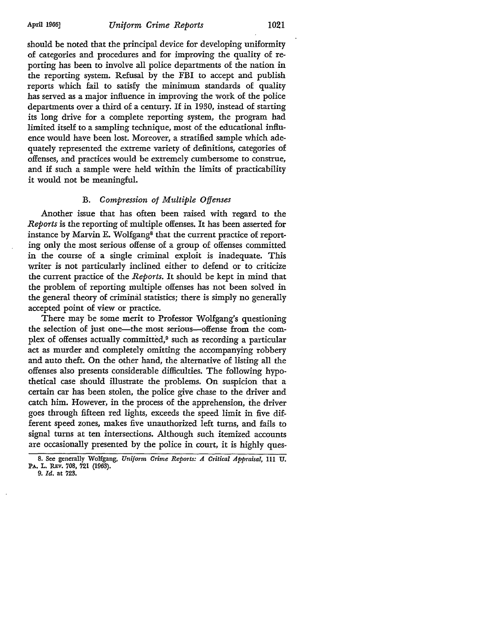should be noted that the principal device for developing uniformity of categories and procedures and for improving the quality of reporting has been to involve all police departments of the nation in the reporting system. Refusal by the FBI to accept and publish reports which fail to satisfy the minimum standards of quality has served as a major influence in improving the work of the police departments over a third of a century. If in 1930, instead of starting its long drive for a complete reporting system, the program had limited itself to a sampling technique, most of the educational influence would have been lost. Moreover, a stratified sample which adequately represented the extreme variety of definitions, categories of offenses, and practices would be extremely cumbersome to construe, and if such a sample were held within the limits of practicability it would not be meaningful.

#### B. *Compression of Multiple Offenses*

Another issue that has often been raised with regard to the *Reports* is the reporting of multiple offenses. It has been asserted for instance by Marvin E. Wolfgang<sup>8</sup> that the current practice of reporting only the most serious offense of a group of offenses committed in the course of a single criminal exploit is inadequate. This writer is not particularly inclined either to defend or to criticize the current practice of the *Reports.* It should be kept in mind that the problem of reporting multiple offenses has not been solved in the general theory of criminal statistics; there is simply no generally accepted point of view or practice.

There may be some merit to Professor Wolfgang's questioning the selection of just one-the most serious-offense from the complex of offenses actually committed,<sup>9</sup> such as recording a particular act as murder and completely omitting the accompanying robbery and auto theft. On the other hand, the alternative of listing all the offenses also presents considerable difficulties. The following hypothetical case should illustrate the problems. On suspicion that a certain car has been stolen, the police give chase to the driver and catch him. However, in the process of the apprehension, the driver goes through fifteen red lights, exceeds the speed limit in five different speed zones, makes five unauthorized left turns, and fails to signal turns at ten intersections. Although such itemized accounts are occasionally presented by the police in court, it is highly ques-

s. See generally Wolfgang, *Uniform Crime Reports: A Critical Appraisal,* 111 U. PA. L. REV. 708, 721 (1963).

<sup>9.</sup> *Id.* at 723.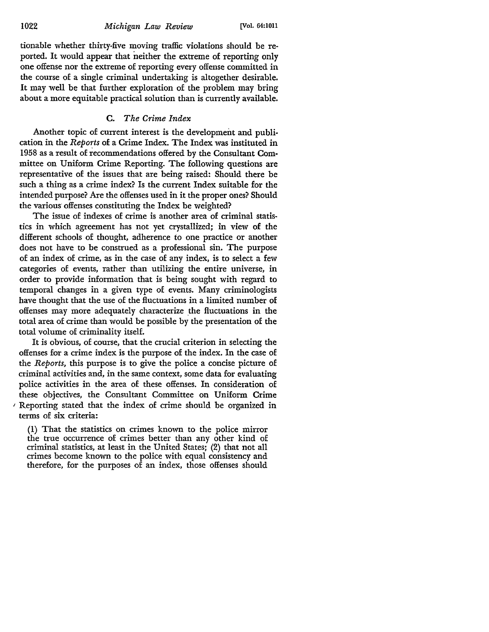1022 *Michigan Law Review* [Vol. 64:1011

tionable whether thirty-five moving traffic violations should be reported. It would appear that neither the extreme of reporting only one offense nor the extreme of reporting every offense committed in the course of a single criminal undertaking is altogether desirable. It may well be that further exploration of the problem may bring about a more equitable practical solution than is currently available.

#### **C.** *The Crime Index*

Another topic of current interest is the development and publication in the *Reports* of a Crime Index. The Index was instituted in 1958 as a result of recommendations offered by the Consultant Committee on Uniform Crime Reporting. The following questions are representative of the issues that are being raised: Should there be such a thing as a crime index? Is the current Index suitable for the intended purpose? Are the offenses used in it the proper ones? Should the various offenses constituting the Index be weighted?

The issue of indexes of crime is another area of criminal statistics in which agreement has not yet crystallized; in view of the different schools of thought, adherence to one practice or another does not have to be construed as a professional sin. The purpose of an index of crime, as in the case of any index, is to select a few categories of events, rather than utilizing the entire universe, in order to provide information that is being sought with regard to temporal changes in a given type of events. Many criminologists have thought that the use of the fluctuations in a limited number of offenses may more adequately characterize the fluctuations in the total area of crime than would be possible by the presentation of the total volume of criminality itself.

It is obvious, of course, that the crucial criterion in selecting the offenses for a crime index is the purpose of the index. In the case of the *Reports,* this purpose is to give the police a concise picture of criminal activities and, in the same context, some data for evaluating police activities in the area of these offenses. In consideration of these objectives, the Consultant Committee on Uniform Crime , Reporting stated that the index of crime should be organized in terms of six criteria:

(1) That the statistics on crimes known to the police mirror the true occurrence of crimes better than any other kind of criminal statistics, at least in the United States; (2) that not all crimes become known to the police with equal consistency and therefore, for the purposes of an index, those offenses should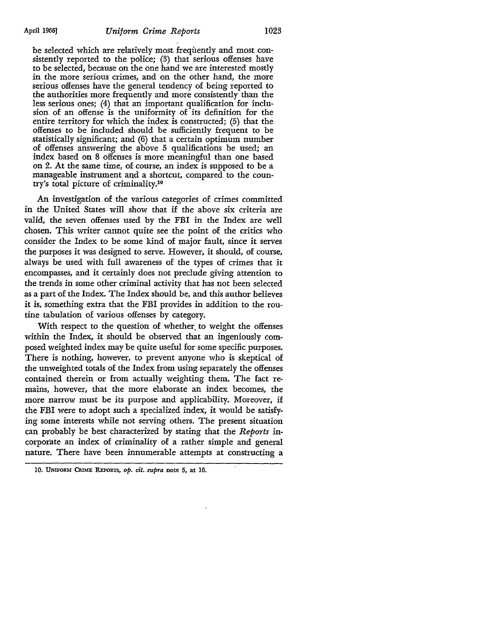be selected which are relatively most frequently and most consistently reported to the police; (3) that serious offenses have to be selected, because on the one hand we are interested mostly in the more serious crimes, and on the other hand, the more serious offenses have the general tendency of being reported to the authorities more frequently and more consistently than the less serious ones; (4) that an important qualification for inclusion of an offense is the uniformity of its definition for the entire territory for which the index is constructed; (5) that the offenses to be included should be sufficiently frequent to be statistically significant; and (6) that a certain optimum number of offenses answering the above 5 qualifications be used; an index based on 8 offenses is more meaningful than one based on 2. At the same time, of course, an index is supposed to be a manageable instrument and a shortcut, compared to the country's total picture of criminality.10

An investigation of the various categories of crimes committed in the United States will show that if the above six criteria are valid, the seven offenses used by the FBI in the Index are well chosen. This writer cannot quite see the point of the critics who consider the Index to be some kind of major fault, since it serves the purposes it was designed to serve. However, it should, of course, always be used with full awareness of the types of crimes that it encompasses, and it certainly does not preclude giving attention to the trends in some other criminal activity that has not been selected as a part of the Index. The Index should be, and this author believes it is, something extra that the FBI provides in addition to the routine tabulation of various offenses by category.

With respect to the question of whether to weight the offenses within the Index, it should be observed that an ingeniously composed weighted index may be quite useful for some specific purposes. There is nothing, however, to prevent anyone who is skeptical of the unweighted totals of the Index from using separately the offenses contained therein or from actually weighting them. The fact remains, however, that the more elaborate an index becomes, the more narrow must be its purpose and applicability. Moreover, if the FBI were to adopt such a specialized index, it would be satisfying some interests while not serving others. The present situation can probably be best characterized by stating that the *Reports* incorporate an index of criminality of a rather simple and general nature. There have been innumerable attempts at constructing a

IO. UNIFORM CRIME REPORTS, *op. cit. supra* note 5, at 16.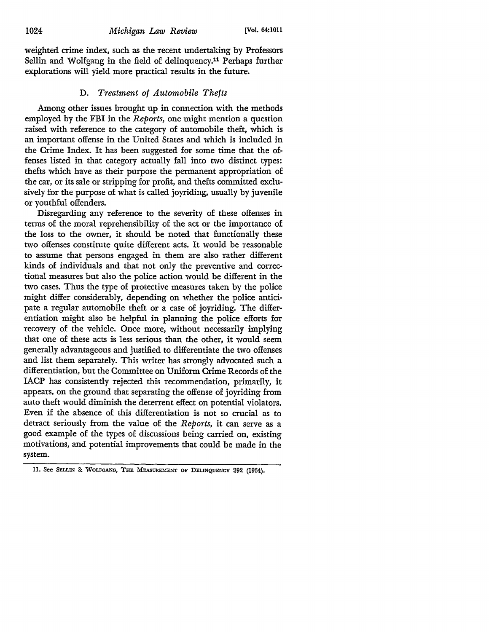weighted crime index, such as the recent undertaking by Professors Sellin and Wolfgang in the field of delinquency.11 Perhaps further explorations will yield more practical results in the future.

#### D. *Treatment of Automobile Thefts*

Among other issues brought up in connection with the methods employed by the FBI in the *Reports,* one might mention a question raised with reference to the category of automobile theft, which is an important offense in the United States and which is included in the Crime Index. It has been suggested for some time that the offenses listed in that category actually fall into two distinct types: thefts which have as their purpose the permanent appropriation of the car, or its sale or stripping for profit, and thefts committed exclusively for the purpose of what is called joyriding, usually by juvenile or youthful offenders.

Disregarding any reference to the severity of these offenses in terms of the moral reprehensibility of the act or the importance of the loss to the owner, it should be noted that functionally these two offenses constitute quite different acts. It would be reasonable to assume that persons engaged in them are also rather different kinds of individuals and that not only the preventive and correctional measures but also the police action would be different in the two cases. Thus the type of protective measures taken by the police might differ considerably, depending on whether the police anticipate a regular automobile theft or a case of joyriding. The differentiation might also be helpful in planning the police efforts for recovery of the vehicle. Once more, without necessarily implying that one of these acts is less serious than the other, it would seem generally advantageous and justified to differentiate the two offenses and list them separately. This writer has strongly advocated such a differentiation, but the Committee on Uniform Crime Records of the IACP has consistently rejected this recommendation, primarily, it appears, on the ground that separating the offense of joyriding from auto theft would diminish the deterrent effect on potential violators. Even if the absence of this differentiation is not so crucial as to detract seriously from the value of the *Reports,* it can serve as a good example of the types of discussions being carried on, existing motivations, and potential improvements that could be made in the system.

<sup>11.</sup> See SELLIN & WOLFGANG, THE MEASUREMENT OF DELINQUENCY 292 (1964).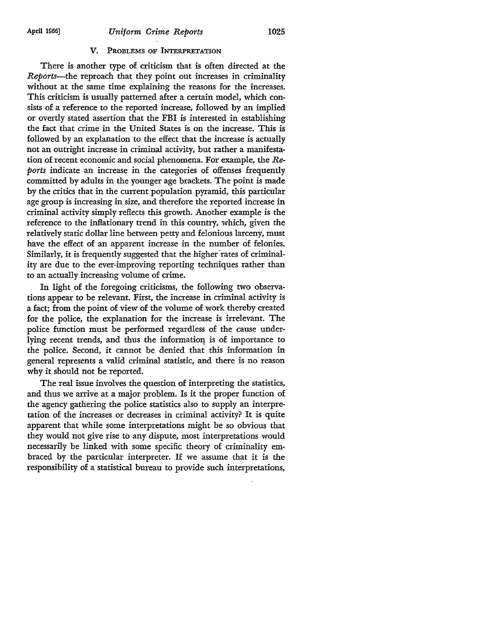#### V. PROBLEMS OF INTERPRETATION

There is another type of criticism that is often directed at the *Reports-the* reproach that they point out increases in criminality without at the same time explaining the reasons for the increases. This criticism is usually patterned after a certain model, which consists of a reference to the reported increase, followed by an implied or overtly stated assertion that the FBI is interested in establishing the fact that crime in the United States is on the increase. This is followed by an explanation to the effect that the increase is actually not an outright increase in criminal activity, but rather a manifestation of recent economic and social phenomena. For example, the *Reports* indicate an increase in the categories of offenses frequently committed by adults in the younger age brackets. The point is made by the critics that in the current population pyramid, this particular age group is increasing in size, and therefore the reported increase in criminal activity simply reflects this growth. Another example is the reference to the inflationary trend in this country, which, given the relatively static dollar line between petty and felonious larceny, must have the effect of an apparent increase in the number of felonies. Similarly, it is frequently suggested that the higher rates of criminality are due to the ever-improving reporting techniques rather than to an actually increasing volume of crime.

In light of the foregoing criticisms, the following two observations appear to be relevant. First, the increase in criminal activity is a fact; from the point of view of the volume of work thereby created for the police, the explanation for the increase is irrelevant. The police function must be performed regardless of the cause underlying recent trends, and thus the information is of importance to the police. Second, it cannot be denied that this information in general represents a valid criminal statistic, and there is no reason why it should not be reported.

The real issue involves the question of interpreting the statistics, and thus we arrive at a major problem. Is it the proper function of the agency gathering the police statistics also to supply an interpretation of the increases or decreases in criminal activity? It is quite apparent that while some interpretations might be so obvious that they would not give rise to any dispute, most interpretations would necessarily be linked with some specific theory of criminality embraced by the particular interpreter. If we assume that it is the responsibility of a statistical bureau to provide such interpretations,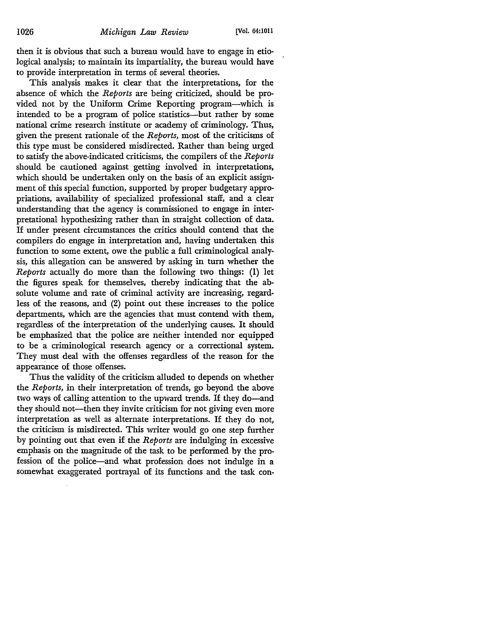then it is obvious that such a bureau would have to engage in etiological analysis; to maintain its impartiality, the bureau would have to provide interpretation in terms of several theories.

This analysis makes it clear that the interpretations, for the absence of which the *Reports* are being criticized, should be provided not by the Uniform Crime Reporting program-which is intended to be a program of police statistics--but rather by some national crime research institute or academy of criminology. Thus, given the present rationale of the *Reports,* most of the criticisms of this type must be considered misdirected. Rather than being urged to satisfy the above-indicated criticisms, the compilers of the *Reports*  should be cautioned against getting involved in interpretations, which should be undertaken only on the basis of an explicit assignment of this special function, supported by proper budgetary appropriations, availability of specialized professional staff, and a clear understanding that the agency is commissioned to engage in interpretational hypothesizing rather than in straight collection of data. If under present circumstances the critics should contend that the compilers do engage in interpretation and, having undertaken this function to some extent, owe the public a full criminological analysis, this allegation can be answered by asking in turn whether the *Reports* actually do more than the following two things: (I) let the figures speak for themselves, thereby indicating that the absolute volume and rate of criminal activity are increasing, regardless of the reasons, and (2) point out these increases to the police departments, which are the agencies that must contend with them, regardless of the interpretation of the underlying causes. It should be emphasized that the police are neither intended nor equipped to be a criminological research agency or a correctional system. They must deal with the offenses regardless of the reason for the appearance of those offenses.

Thus the validity of the criticism alluded to depends on whether the *Reports,* in their interpretation of trends, go beyond the above two ways of calling attention to the upward trends. If they do-and they should not—then they invite criticism for not giving even more interpretation as well as alternate interpretations. If they do not, the criticism is misdirected. This writer would go one step further by pointing out that even if the *Reports* are indulging in excessive emphasis on the magnitude of the task to be performed by the profession of the police-and what profession does not indulge in a somewhat exaggerated portrayal of its functions and the task con-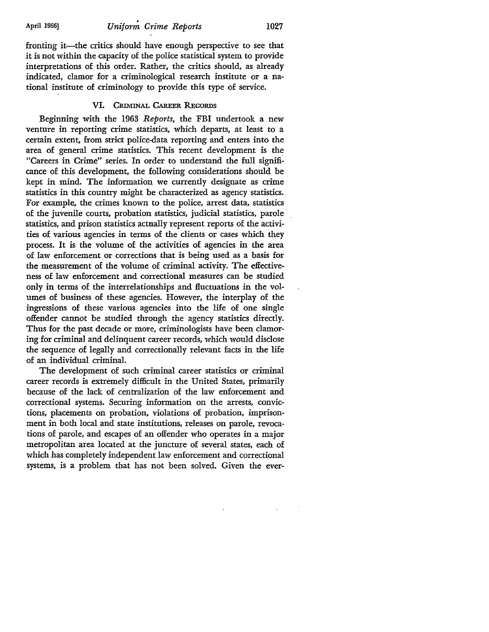fronting it—the critics should have enough perspective to see that it is not within the capacity of the police statistical system to provide interpretations of this order. Rather, the critics should, as already indicated, clamor for a criminological research institute or a national institute of criminology to provide this type of service.

## VI. CRIMINAL CAREER RECORDS

Beginning with the 1963 *Reports,* the FBI undertook a new venture in reporting crime statistics, which departs, at least to a certain extent, from strict police-data reporting and enters into the area of general crime statistics. This recent development is the "Careers in Crime" series. In order to understand the full significance of this development, the following considerations should be kept in mind. The information we currently designate as crime statistics in this country might be characterized as agency statistics. For example, the crimes known to the police, arrest data, statistics of the juvenile courts, probation statistics, judicial statistics, parole statistics, and prison statistics actually represent reports of the activities of various agencies in terms of the clients or cases which they process. It is the volume of the activities of agencies in the area of law enforcement or corrections that is being used as a basis for the measurement of the volume of criminal activity. The effectiveness of law enforcement and correctional measures can be studied only in terms of the interrelationships and fluctuations in the volumes of business of these agencies. However, the interplay of the ingressions of these various agencies into the life of one single offender cannot be studied through the agency statistics directly. Thus for the past decade or more, criminologists have been clamoring for criminal and delinquent career records, which would disclose the sequence of legally and correctionally relevant facts in the life of an individual criminal.

The development of such criminal career statistics or criminal career records is extremely difficult in the United States, primarily because of the lack of centralization of the law enforcement and correctional systems. Securing information on the arrests, convictions, placements on probation, violations of probation, imprisonment in both local and state institutions, releases on parole, revocations of parole, and escapes of an offender who operates in a major metropolitan area located at the juncture of several states, each of which has completely independent law enforcement and correctional systems, is a problem that has not been solved. Given the ever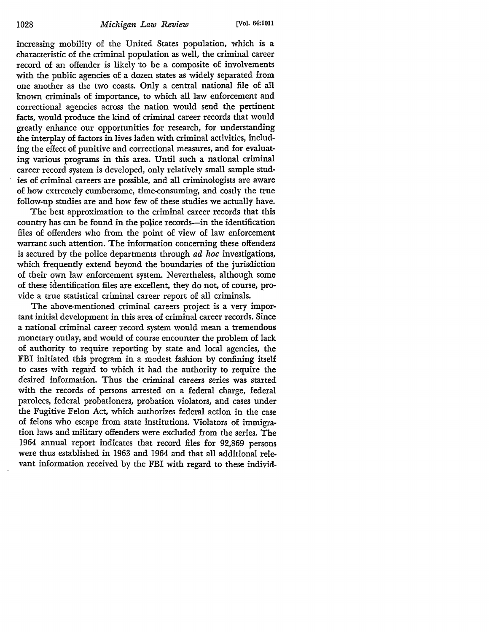increasing mobility of the United States population, which is a characteristic of the criminal population as well, the criminal career record of an offender is likely to be a composite of involvements with the public agencies of a dozen states as widely separated from one another as the two coasts. Only a central national file of all known criminals of importance, to which all law enforcement and correctional agencies across the nation would send the pertinent facts, would produce the kind of criminal career records that would greatly enhance our opportunities for research, for understanding the interplay of factors in lives laden with criminal activities, including the effect of punitive and correctional measures, and for evaluating various programs in this area. Until such a national criminal career record system is developed, only relatively small sample studies of criminal careers are possible, and all criminologists are aware of how extremely cumbersome, time-consuming, and costly the true follow-up studies are and how few of these studies we actually have.

The best approximation to the criminal career records that this country has can be found in the police records--in the identification files of offenders who from the point of view of law enforcement warrant such attention. The information concerning these offenders is secured by the police departments through *ad hoc* investigations, which frequently extend beyond the boundaries of the jurisdiction of their own law enforcement system. Nevertheless, although some of these identification files are excellent, they do not, of course, provide a true statistical criminal career report of all criminals.

The above-mentioned criminal careers project is a very important initial development in this area of criminal career records. Since a national criminal career record system would mean a tremendous monetary outlay, and would of course encounter the problem of lack of authority to require reporting by state and local agencies, the FBI initiated this program in a modest fashion by confining itself to cases with regard to which it had the authority to require the desired information. Thus the criminal careers series was started with the records of persons arrested on a federal charge, federal parolees, federal probationers, probation violators, and cases under the Fugitive Felon Act, which authorizes federal action in the case of felons who escape from state institutions. Violators of immigration laws and military offenders were excluded from the series. The 1964 annual report indicates that record files for 92,869 persons were thus established in 1963 and 1964 and that all additional relevant information received by the FBI with regard to these individ-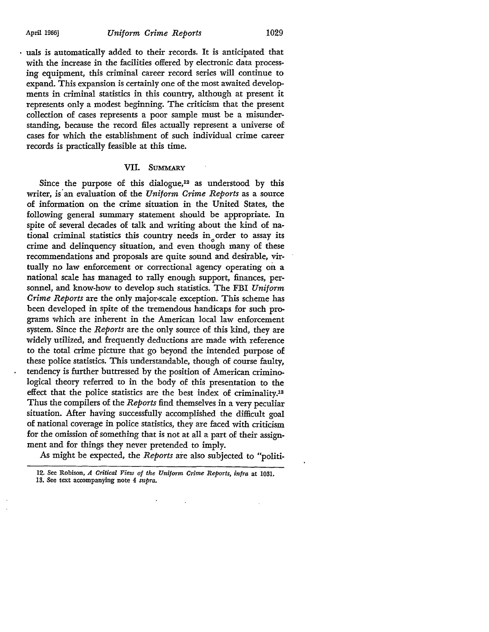$\cdot$  uals is automatically added to their records. It is anticipated that with the increase in the facilities offered by electronic data processing equipment, this criminal career record series will continue to expand. This expansion is certainly one of the most awaited developments in criminal statistics in this country, although at present it represents only a modest beginning. The criticism that the present collection of cases represents a poor sample must be a misunderstanding, because the record files actually represent a universe of cases for which the establishment of such individual crime career records is practically feasible at this time.

#### VII. SUMMARY

Since the purpose of this dialogue, $12$  as understood by this writer, is· an evaluation of the *Uniform Crime Reports* as a source of information on the crime situation in the United States, the following general summary statement should be appropriate. In spite of several decades of talk and writing about the kind of national criminal statistics this country needs in order to assay its crime and delinquency situation, and even though many of these recommendations and proposals are quite sound and desirable, virtually no law enforcement or correctional agency operating on a national scale has managed to rally enough support, finances, personnel, and know-how to develop such statistics. The FBI *Uniform Crime Reports* are the only major-scale exception. This scheme has been developed in spite of the tremendous handicaps for such programs which are inherent in the American local law enforcement system. Since the *Reports* are the only source of this kind, they are widely utilized, and frequently deductions are made with reference to the total crime picture that go beyond the intended purpose of these police statistics. This understandable, though of course faulty, tendency is further buttressed by the position of American criminological theory referred to in the body of this presentation to the effect that the police statistics are the best index of criminality.is Thus the compilers of the *Reports* find themselves in a very peculiar situation. After having successfully accomplished the difficult goal of national coverage in police statistics, they are faced with criticism for the omission of something that is not at all a part of their assignment and for things they never pretended to imply.

As might be expected, the *Reports* are also subjected to "politi-

**<sup>12.</sup>** See Robison, *A Critical View of the Uniform Crime Reports, infra* at 1031. 13. See text accompanying note 4 *supra.*